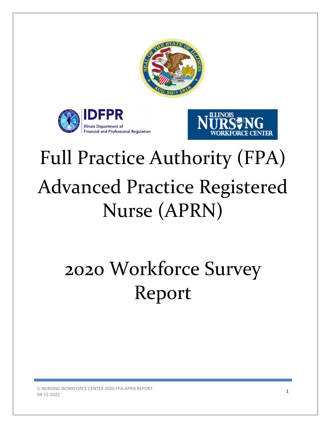





# Full Practice Authority (FPA) Advanced Practice Registered Nurse (APRN)

# 2020 Workforce Survey Report

IL NURSING WORKFORCE CENTER 2020 FPA-APRN REPORT  $04-15-2022$  1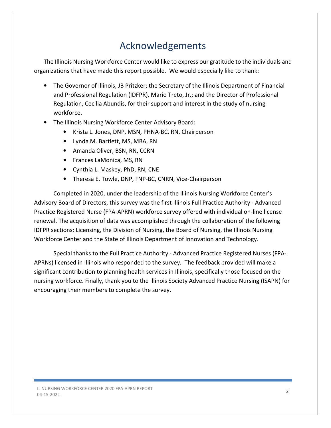# Acknowledgements

The Illinois Nursing Workforce Center would like to express our gratitude to the individuals and organizations that have made this report possible. We would especially like to thank:

- The Governor of Illinois, JB Pritzker; the Secretary of the Illinois Department of Financial and Professional Regulation (IDFPR), Mario Treto, Jr.; and the Director of Professional Regulation, Cecilia Abundis, for their support and interest in the study of nursing workforce.
- The Illinois Nursing Workforce Center Advisory Board:
	- Krista L. Jones, DNP, MSN, PHNA-BC, RN, Chairperson
	- Lynda M. Bartlett, MS, MBA, RN
	- Amanda Oliver, BSN, RN, CCRN
	- Frances LaMonica, MS, RN
	- Cynthia L. Maskey, PhD, RN, CNE
	- Theresa E. Towle, DNP, FNP-BC, CNRN, Vice-Chairperson

Completed in 2020, under the leadership of the Illinois Nursing Workforce Center's Advisory Board of Directors, this survey was the first Illinois Full Practice Authority - Advanced Practice Registered Nurse (FPA-APRN) workforce survey offered with individual on-line license renewal. The acquisition of data was accomplished through the collaboration of the following IDFPR sections: Licensing, the Division of Nursing, the Board of Nursing, the Illinois Nursing Workforce Center and the State of Illinois Department of Innovation and Technology.

Special thanks to the Full Practice Authority - Advanced Practice Registered Nurses (FPA-APRNs) licensed in Illinois who responded to the survey. The feedback provided will make a significant contribution to planning health services in Illinois, specifically those focused on the nursing workforce. Finally, thank you to the Illinois Society Advanced Practice Nursing (ISAPN) for encouraging their members to complete the survey.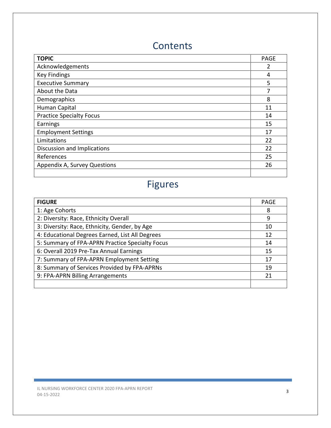# **Contents**

| <b>TOPIC</b>                    | <b>PAGE</b> |
|---------------------------------|-------------|
| Acknowledgements                | 2           |
| <b>Key Findings</b>             | 4           |
| <b>Executive Summary</b>        | 5           |
| About the Data                  | 7           |
| Demographics                    | 8           |
| Human Capital                   | 11          |
| <b>Practice Specialty Focus</b> | 14          |
| Earnings                        | 15          |
| <b>Employment Settings</b>      | 17          |
| Limitations                     | 22          |
| Discussion and Implications     | 22          |
| References                      | 25          |
| Appendix A, Survey Questions    | 26          |
|                                 |             |

# Figures

| <b>FIGURE</b>                                   | <b>PAGE</b> |  |  |  |  |
|-------------------------------------------------|-------------|--|--|--|--|
| 1: Age Cohorts                                  | 8           |  |  |  |  |
| 2: Diversity: Race, Ethnicity Overall           | 9           |  |  |  |  |
| 3: Diversity: Race, Ethnicity, Gender, by Age   | 10          |  |  |  |  |
| 4: Educational Degrees Earned, List All Degrees | 12          |  |  |  |  |
| 5: Summary of FPA-APRN Practice Specialty Focus |             |  |  |  |  |
| 6: Overall 2019 Pre-Tax Annual Earnings         | 15          |  |  |  |  |
| 7: Summary of FPA-APRN Employment Setting       | 17          |  |  |  |  |
| 8: Summary of Services Provided by FPA-APRNs    | 19          |  |  |  |  |
| 9: FPA-APRN Billing Arrangements                | 21          |  |  |  |  |
|                                                 |             |  |  |  |  |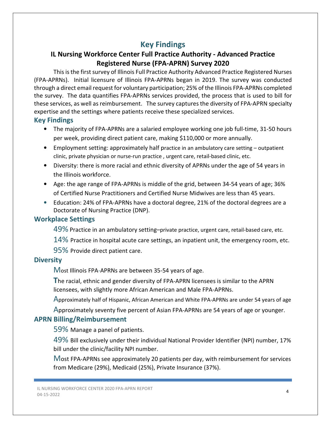## Key Findings

## IL Nursing Workforce Center Full Practice Authority - Advanced Practice Registered Nurse (FPA-APRN) Survey 2020

This is the first survey of Illinois Full Practice Authority Advanced Practice Registered Nurses (FPA-APRNs). Initial licensure of Illinois FPA-APRNs began in 2019. The survey was conducted through a direct email request for voluntary participation; 25% of the Illinois FPA-APRNs completed the survey. The data quantifies FPA-APRNs services provided, the process that is used to bill for these services, as well as reimbursement. The survey captures the diversity of FPA-APRN specialty expertise and the settings where patients receive these specialized services.

### Key Findings

- The majority of FPA-APRNs are a salaried employee working one job full-time, 31-50 hours per week, providing direct patient care, making \$110,000 or more annually.
- Employment setting: approximately half practice in an ambulatory care setting outpatient clinic, private physician or nurse-run practice , urgent care, retail-based clinic, etc.
- Diversity: there is more racial and ethnic diversity of APRNs under the age of 54 years in the Illinois workforce.
- Age: the age range of FPA-APRNs is middle of the grid, between 34-54 years of age; 36% of Certified Nurse Practitioners and Certified Nurse Midwives are less than 45 years.
- Education: 24% of FPA-APRNs have a doctoral degree, 21% of the doctoral degrees are a Doctorate of Nursing Practice (DNP).

## Workplace Settings

49% Practice in an ambulatory setting–private practice, urgent care, retail-based care, etc.

- $14\%$  Practice in hospital acute care settings, an inpatient unit, the emergency room, etc.
- 95% Provide direct patient care.

## **Diversity**

Most Illinois FPA-APRNs are between 35-54 years of age.

The racial, ethnic and gender diversity of FPA-APRN licensees is similar to the APRN licensees, with slightly more African American and Male FPA-APRNs.

Approximately half of Hispanic, African American and White FPA-APRNs are under 54 years of age

Approximately seventy five percent of Asian FPA-APRNs are 54 years of age or younger.

## APRN Billing/Reimbursement

59% Manage a panel of patients.

49% Bill exclusively under their individual National Provider Identifier (NPI) number, 17% bill under the clinic/facility NPI number.

Most FPA-APRNs see approximately 20 patients per day, with reimbursement for services from Medicare (29%), Medicaid (25%), Private Insurance (37%).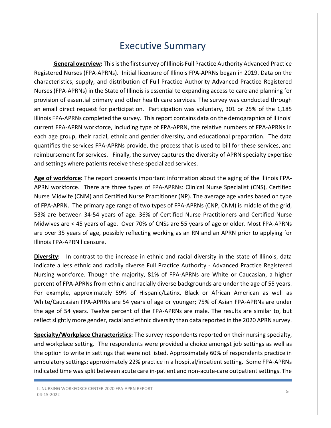## Executive Summary

General overview: This is the first survey of Illinois Full Practice Authority Advanced Practice Registered Nurses (FPA-APRNs). Initial licensure of Illinois FPA-APRNs began in 2019. Data on the characteristics, supply, and distribution of Full Practice Authority Advanced Practice Registered Nurses (FPA-APRNs) in the State of Illinois is essential to expanding access to care and planning for provision of essential primary and other health care services. The survey was conducted through an email direct request for participation. Participation was voluntary, 301 or 25% of the 1,185 Illinois FPA-APRNs completed the survey. This report contains data on the demographics of Illinois' current FPA-APRN workforce, including type of FPA-APRN, the relative numbers of FPA-APRNs in each age group, their racial, ethnic and gender diversity, and educational preparation. The data quantifies the services FPA-APRNs provide, the process that is used to bill for these services, and reimbursement for services. Finally, the survey captures the diversity of APRN specialty expertise and settings where patients receive these specialized services.

Age of workforce: The report presents important information about the aging of the Illinois FPA-APRN workforce. There are three types of FPA-APRNs: Clinical Nurse Specialist (CNS), Certified Nurse Midwife (CNM) and Certified Nurse Practitioner (NP). The average age varies based on type of FPA-APRN. The primary age range of two types of FPA-APRNs (CNP, CNM) is middle of the grid, 53% are between 34-54 years of age. 36% of Certified Nurse Practitioners and Certified Nurse Midwives are < 45 years of age. Over 70% of CNSs are 55 years of age or older. Most FPA-APRNs are over 35 years of age, possibly reflecting working as an RN and an APRN prior to applying for Illinois FPA-APRN licensure.

Diversity: In contrast to the increase in ethnic and racial diversity in the state of Illinois, data indicate a less ethnic and racially diverse Full Practice Authority - Advanced Practice Registered Nursing workforce. Though the majority, 81% of FPA-APRNs are White or Caucasian, a higher percent of FPA-APRNs from ethnic and racially diverse backgrounds are under the age of 55 years. For example, approximately 59% of Hispanic/Latinx, Black or African American as well as White/Caucasian FPA-APRNs are 54 years of age or younger; 75% of Asian FPA-APRNs are under the age of 54 years. Twelve percent of the FPA-APRNs are male. The results are similar to, but reflect slightly more gender, racial and ethnic diversity than data reported in the 2020 APRN survey.

Specialty/Workplace Characteristics: The survey respondents reported on their nursing specialty, and workplace setting. The respondents were provided a choice amongst job settings as well as the option to write in settings that were not listed. Approximately 60% of respondents practice in ambulatory settings; approximately 22% practice in a hospital/inpatient setting. Some FPA-APRNs indicated time was split between acute care in-patient and non-acute-care outpatient settings. The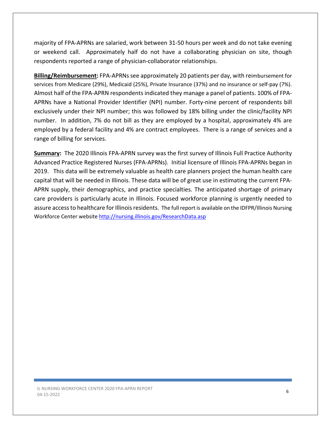majority of FPA-APRNs are salaried, work between 31-50 hours per week and do not take evening or weekend call. Approximately half do not have a collaborating physician on site, though respondents reported a range of physician-collaborator relationships.

Billing/Reimbursement: FPA-APRNs see approximately 20 patients per day, with reimbursement for services from Medicare (29%), Medicaid (25%), Private Insurance (37%) and no insurance or self-pay (7%). Almost half of the FPA-APRN respondents indicated they manage a panel of patients. 100% of FPA-APRNs have a National Provider Identifier (NPI) number. Forty-nine percent of respondents bill exclusively under their NPI number; this was followed by 18% billing under the clinic/facility NPI number. In addition, 7% do not bill as they are employed by a hospital, approximately 4% are employed by a federal facility and 4% are contract employees. There is a range of services and a range of billing for services.

**Summary:** The 2020 Illinois FPA-APRN survey was the first survey of Illinois Full Practice Authority Advanced Practice Registered Nurses (FPA-APRNs). Initial licensure of Illinois FPA-APRNs began in 2019. This data will be extremely valuable as health care planners project the human health care capital that will be needed in Illinois. These data will be of great use in estimating the current FPA-APRN supply, their demographics, and practice specialties. The anticipated shortage of primary care providers is particularly acute in Illinois. Focused workforce planning is urgently needed to assure access to healthcare for Illinois residents. The full report is available on the IDFPR/Illinois Nursing Workforce Center website http://nursing.illinois.gov/ResearchData.asp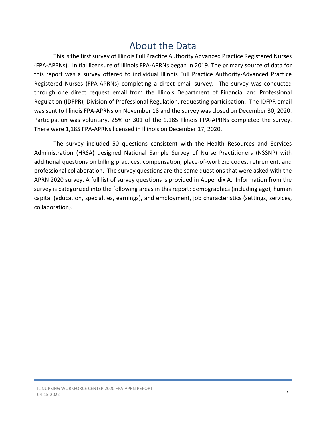## About the Data

This is the first survey of Illinois Full Practice Authority Advanced Practice Registered Nurses (FPA-APRNs). Initial licensure of Illinois FPA-APRNs began in 2019. The primary source of data for this report was a survey offered to individual Illinois Full Practice Authority-Advanced Practice Registered Nurses (FPA-APRNs) completing a direct email survey. The survey was conducted through one direct request email from the Illinois Department of Financial and Professional Regulation (IDFPR), Division of Professional Regulation, requesting participation. The IDFPR email was sent to Illinois FPA-APRNs on November 18 and the survey was closed on December 30, 2020. Participation was voluntary, 25% or 301 of the 1,185 Illinois FPA-APRNs completed the survey. There were 1,185 FPA-APRNs licensed in Illinois on December 17, 2020.

The survey included 50 questions consistent with the Health Resources and Services Administration (HRSA) designed National Sample Survey of Nurse Practitioners (NSSNP) with additional questions on billing practices, compensation, place-of-work zip codes, retirement, and professional collaboration. The survey questions are the same questions that were asked with the APRN 2020 survey. A full list of survey questions is provided in Appendix A. Information from the survey is categorized into the following areas in this report: demographics (including age), human capital (education, specialties, earnings), and employment, job characteristics (settings, services, collaboration).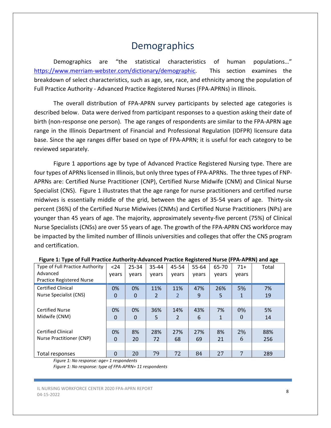# **Demographics**

Demographics are "the statistical characteristics of human populations…" https://www.merriam-webster.com/dictionary/demographic. This section examines the breakdown of select characteristics, such as age, sex, race, and ethnicity among the population of Full Practice Authority - Advanced Practice Registered Nurses (FPA-APRNs) in Illinois.

The overall distribution of FPA-APRN survey participants by selected age categories is described below. Data were derived from participant responses to a question asking their date of birth (non-response one person). The age ranges of respondents are similar to the FPA-APRN age range in the Illinois Department of Financial and Professional Regulation (IDFPR) licensure data base. Since the age ranges differ based on type of FPA-APRN; it is useful for each category to be reviewed separately.

Figure 1 apportions age by type of Advanced Practice Registered Nursing type. There are four types of APRNs licensed in Illinois, but only three types of FPA-APRNs. The three types of FNP-APRNs are: Certified Nurse Practitioner (CNP), Certified Nurse Midwife (CNM) and Clinical Nurse Specialist (CNS). Figure 1 illustrates that the age range for nurse practitioners and certified nurse midwives is essentially middle of the grid, between the ages of 35-54 years of age. Thirty-six percent (36%) of the Certified Nurse Midwives (CNMs) and Certified Nurse Practitioners (NPs) are younger than 45 years of age. The majority, approximately seventy-five percent (75%) of Clinical Nurse Specialists (CNSs) are over 55 years of age. The growth of the FPA-APRN CNS workforce may be impacted by the limited number of Illinois universities and colleges that offer the CNS program and certification.

| Type of Full Practice Authority  | $24$  | 25-34 | 35-44 | 45-54 | 55-64 | 65-70 | $71+$    | Total |
|----------------------------------|-------|-------|-------|-------|-------|-------|----------|-------|
| Advanced                         | vears | vears | vears | vears | vears | vears | years    |       |
| <b>Practice Registered Nurse</b> |       |       |       |       |       |       |          |       |
| <b>Certified Clinical</b>        | 0%    | 0%    | 11%   | 11%   | 47%   | 26%   | 5%       | 7%    |
| Nurse Specialist (CNS)           | 0     | 0     | 2     | 2     | 9     | 5     | 1        | 19    |
|                                  |       |       |       |       |       |       |          |       |
| <b>Certified Nurse</b>           | 0%    | 0%    | 36%   | 14%   | 43%   | 7%    | $0\%$    | 5%    |
| Midwife (CNM)                    | 0     | 0     | 5     | 2     | 6     | 1     | $\Omega$ | 14    |
|                                  |       |       |       |       |       |       |          |       |
| <b>Certified Clinical</b>        | 0%    | 8%    | 28%   | 27%   | 27%   | 8%    | 2%       | 88%   |
| Nurse Practitioner (CNP)         | 0     | 20    | 72    | 68    | 69    | 21    | 6        | 256   |
|                                  |       |       |       |       |       |       |          |       |
| Total responses                  | 0     | 20    | 79    | 72    | 84    | 27    | 7        | 289   |

| Figure 1: Type of Full Practice Authority-Advanced Practice Registered Nurse (FPA-APRN) and age |  |  |
|-------------------------------------------------------------------------------------------------|--|--|
|                                                                                                 |  |  |

Figure 1: No response: age= 1 respondents

Figure 1: No response: type of FPA-APRN= 11 respondents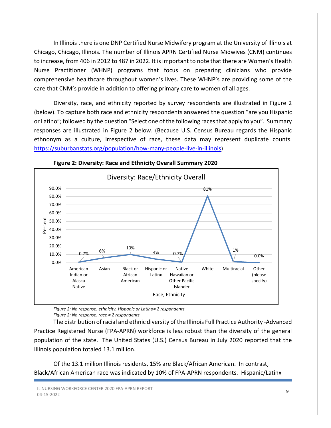In Illinois there is one DNP Certified Nurse Midwifery program at the University of Illinois at Chicago, Chicago, Illinois. The number of Illinois APRN Certified Nurse Midwives (CNM) continues to increase, from 406 in 2012 to 487 in 2022. It is important to note that there are Women's Health Nurse Practitioner (WHNP) programs that focus on preparing clinicians who provide comprehensive healthcare throughout women's lives. These WHNP's are providing some of the care that CNM's provide in addition to offering primary care to women of all ages.

Diversity, race, and ethnicity reported by survey respondents are illustrated in Figure 2 (below). To capture both race and ethnicity respondents answered the question "are you Hispanic or Latino"; followed by the question "Select one of the following races that apply to you". Summary responses are illustrated in Figure 2 below. (Because U.S. Census Bureau regards the Hispanic ethnonym as a culture, irrespective of race, these data may represent duplicate counts. https://suburbanstats.org/population/how-many-people-live-in-illinois)



Figure 2: Diversity: Race and Ethnicity Overall Summary 2020

Figure 2: No response: ethnicity, Hispanic or Latino= 2 respondents Figure 2: No response: race = 2 respondents

The distribution of racial and ethnic diversity of the Illinois Full Practice Authority -Advanced Practice Registered Nurse (FPA-APRN) workforce is less robust than the diversity of the general population of the state. The United States (U.S.) Census Bureau in July 2020 reported that the Illinois population totaled 13.1 million.

Of the 13.1 million Illinois residents, 15% are Black/African American. In contrast, Black/African American race was indicated by 10% of FPA-APRN respondents. Hispanic/Latinx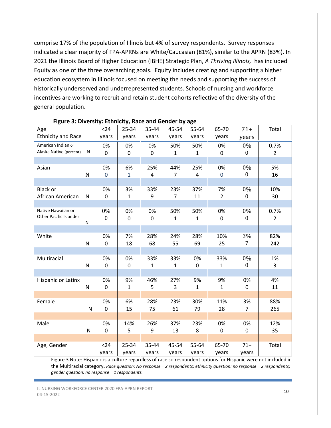comprise 17% of the population of Illinois but 4% of survey respondents. Survey responses indicated a clear majority of FPA-APRNs are White/Caucasian (81%), similar to the APRN (83%). In 2021 the Illinois Board of Higher Education (IBHE) Strategic Plan, A Thriving Illinois, has included Equity as one of the three overarching goals. Equity includes creating and supporting a higher education ecosystem in Illinois focused on meeting the needs and supporting the success of historically underserved and underrepresented students. Schools of nursing and workforce incentives are working to recruit and retain student cohorts reflective of the diversity of the general population.

| Age                                 |              | $24$               | 25-34              | 35-44        | 45-54                 | 55-64          | 65-70                | $71+$              | Total          |
|-------------------------------------|--------------|--------------------|--------------------|--------------|-----------------------|----------------|----------------------|--------------------|----------------|
| <b>Ethnicity and Race</b>           |              | years              | years              | years        | years                 | years          | years                | years              |                |
| American Indian or                  |              | 0%                 | 0%                 | 0%           | 50%                   | 50%            | 0%                   | 0%                 | 0.7%           |
| Alaska Native (percent)             | N            | 0                  | 0                  | 0            | 1                     | $\mathbf{1}$   | $\mathbf 0$          | $\boldsymbol{0}$   | $\overline{2}$ |
|                                     |              |                    |                    |              |                       |                |                      |                    |                |
| Asian                               |              | 0%                 | 6%                 | 25%          | 44%                   | 25%            | 0%                   | 0%                 | 5%             |
|                                     | N            | $\mathbf 0$        | $\mathbf{1}$       | 4            | $\overline{7}$        | $\overline{4}$ | $\mathbf 0$          | $\boldsymbol{0}$   | 16             |
|                                     |              |                    |                    |              |                       |                |                      |                    |                |
| <b>Black or</b><br>African American | $\mathsf{N}$ | 0%<br>$\mathbf{0}$ | 3%<br>$\mathbf{1}$ | 33%<br>9     | 23%<br>$\overline{7}$ | 37%<br>11      | 7%<br>$\overline{2}$ | 0%<br>$\mathbf{0}$ | 10%<br>30      |
|                                     |              |                    |                    |              |                       |                |                      |                    |                |
| Native Hawaiian or                  |              | 0%                 | 0%                 | 0%           | 50%                   | 50%            | 0%                   | 0%                 | 0.7%           |
| Other Pacific Islander              |              | $\boldsymbol{0}$   | $\mathbf 0$        | 0            | $\mathbf{1}$          | $\mathbf{1}$   | $\mathbf 0$          | $\boldsymbol{0}$   | $\overline{2}$ |
|                                     | N            |                    |                    |              |                       |                |                      |                    |                |
|                                     |              |                    |                    |              |                       |                |                      |                    |                |
| White                               | N            | 0%<br>$\mathbf 0$  | 7%<br>18           | 28%<br>68    | 24%<br>55             | 28%<br>69      | 10%<br>25            | 3%<br>7            | 82%<br>242     |
|                                     |              |                    |                    |              |                       |                |                      |                    |                |
| Multiracial                         |              | 0%                 | 0%                 | 33%          | 33%                   | 0%             | 33%                  | 0%                 | 1%             |
|                                     | N            | $\mathbf 0$        | $\mathbf 0$        | $\mathbf{1}$ | $\mathbf{1}$          | $\mathbf 0$    | $\mathbf{1}$         | $\mathbf{0}$       | 3              |
|                                     |              |                    |                    |              |                       |                |                      |                    |                |
| Hispanic or Latinx                  |              | 0%                 | 9%                 | 46%          | 27%                   | 9%             | 9%                   | 0%                 | 4%             |
|                                     | N            | $\mathbf 0$        | $\mathbf{1}$       | 5            | 3                     | $\mathbf{1}$   | $\mathbf{1}$         | 0                  | 11             |
|                                     |              |                    |                    |              |                       |                |                      |                    |                |
| Female                              |              | 0%                 | 6%                 | 28%          | 23%                   | 30%            | 11%                  | 3%                 | 88%            |
|                                     | ${\sf N}$    | $\overline{0}$     | 15                 | 75           | 61                    | 79             | 28                   | $\overline{7}$     | 265            |
|                                     |              |                    |                    |              |                       |                |                      |                    |                |
| Male                                |              | 0%                 | 14%                | 26%          | 37%                   | 23%            | 0%                   | 0%                 | 12%            |
|                                     | $\mathsf{N}$ | $\mathbf 0$        | 5                  | 9            | 13                    | 8              | $\mathbf 0$          | 0                  | 35             |
| Age, Gender                         |              | $24$               | 25-34              | 35-44        | 45-54                 | 55-64          | 65-70                | $71+$              | Total          |
|                                     |              | years              | years              | years        | years                 | years          | years                | years              |                |
|                                     |              |                    |                    |              |                       |                |                      |                    |                |

#### Figure 3: Diversity: Ethnicity, Race and Gender by age

Figure 3 Note: Hispanic is a culture regardless of race so respondent options for Hispanic were not included in the Multiracial category. Race question: No response = 2 respondents; ethnicity question: no response = 2 respondents; gender question: no response = 1 respondents.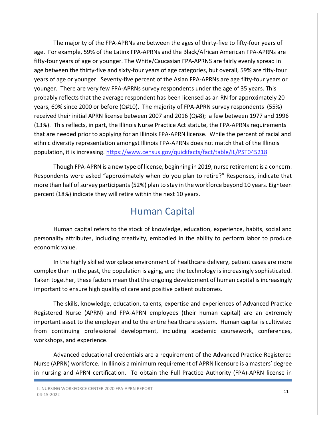The majority of the FPA-APRNs are between the ages of thirty-five to fifty-four years of age. For example, 59% of the Latinx FPA-APRNs and the Black/African American FPA-APRNs are fifty-four years of age or younger. The White/Caucasian FPA-APRNS are fairly evenly spread in age between the thirty-five and sixty-four years of age categories, but overall, 59% are fifty-four years of age or younger. Seventy-five percent of the Asian FPA-APRNs are age fifty-four years or younger. There are very few FPA-APRNs survey respondents under the age of 35 years. This probably reflects that the average respondent has been licensed as an RN for approximately 20 years, 60% since 2000 or before (Q#10). The majority of FPA-APRN survey respondents (55%) received their initial APRN license between 2007 and 2016 (Q#8); a few between 1977 and 1996 (13%). This reflects, in part, the Illinois Nurse Practice Act statute, the FPA-APRNs requirements that are needed prior to applying for an Illinois FPA-APRN license. While the percent of racial and ethnic diversity representation amongst Illinois FPA-APRNs does not match that of the Illinois population, it is increasing. https://www.census.gov/quickfacts/fact/table/IL/PST045218

Though FPA-APRN is a new type of license, beginning in 2019, nurse retirement is a concern. Respondents were asked "approximately when do you plan to retire?" Responses, indicate that more than half of survey participants (52%) plan to stay in the workforce beyond 10 years. Eighteen percent (18%) indicate they will retire within the next 10 years.

## Human Capital

Human capital refers to the stock of knowledge, education, experience, habits, social and personality attributes, including creativity, embodied in the ability to perform labor to produce economic value.

In the highly skilled workplace environment of healthcare delivery, patient cases are more complex than in the past, the population is aging, and the technology is increasingly sophisticated. Taken together, these factors mean that the ongoing development of human capital is increasingly important to ensure high quality of care and positive patient outcomes.

The skills, knowledge, education, talents, expertise and experiences of Advanced Practice Registered Nurse (APRN) and FPA-APRN employees (their human capital) are an extremely important asset to the employer and to the entire healthcare system. Human capital is cultivated from continuing professional development, including academic coursework, conferences, workshops, and experience.

Advanced educational credentials are a requirement of the Advanced Practice Registered Nurse (APRN) workforce. In Illinois a minimum requirement of APRN licensure is a masters' degree in nursing and APRN certification. To obtain the Full Practice Authority (FPA)-APRN license in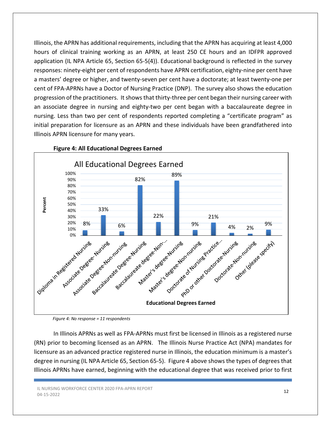Illinois, the APRN has additional requirements, including that the APRN has acquiring at least 4,000 hours of clinical training working as an APRN, at least 250 CE hours and an IDFPR approved application (IL NPA Article 65, Section 65-5(4)). Educational background is reflected in the survey responses: ninety-eight per cent of respondents have APRN certification, eighty-nine per cent have a masters' degree or higher, and twenty-seven per cent have a doctorate; at least twenty-one per cent of FPA-APRNs have a Doctor of Nursing Practice (DNP). The survey also shows the education progression of the practitioners. It shows that thirty-three per cent began their nursing career with an associate degree in nursing and eighty-two per cent began with a baccalaureate degree in nursing. Less than two per cent of respondents reported completing a "certificate program" as initial preparation for licensure as an APRN and these individuals have been grandfathered into Illinois APRN licensure for many years.



#### Figure 4: All Educational Degrees Earned

Figure 4: No response = 11 respondents

In Illinois APRNs as well as FPA-APRNs must first be licensed in Illinois as a registered nurse (RN) prior to becoming licensed as an APRN. The Illinois Nurse Practice Act (NPA) mandates for licensure as an advanced practice registered nurse in Illinois, the education minimum is a master's degree in nursing (IL NPA Article 65, Section 65-5). Figure 4 above shows the types of degrees that Illinois APRNs have earned, beginning with the educational degree that was received prior to first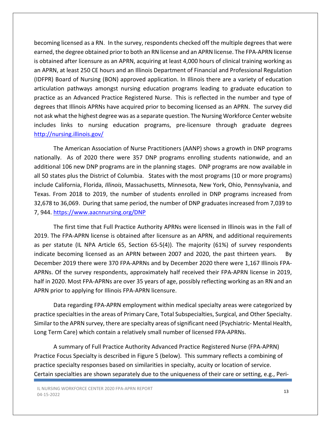becoming licensed as a RN. In the survey, respondents checked off the multiple degrees that were earned, the degree obtained prior to both an RN license and an APRN license. The FPA-APRN license is obtained after licensure as an APRN, acquiring at least 4,000 hours of clinical training working as an APRN, at least 250 CE hours and an Illinois Department of Financial and Professional Regulation (IDFPR) Board of Nursing (BON) approved application. In Illinois there are a variety of education articulation pathways amongst nursing education programs leading to graduate education to practice as an Advanced Practice Registered Nurse. This is reflected in the number and type of degrees that Illinois APRNs have acquired prior to becoming licensed as an APRN. The survey did not ask what the highest degree was as a separate question. The Nursing Workforce Center website includes links to nursing education programs, pre-licensure through graduate degrees http://nursing.illinois.gov/

The American Association of Nurse Practitioners (AANP) shows a growth in DNP programs nationally. As of 2020 there were 357 DNP programs enrolling students nationwide, and an additional 106 new DNP programs are in the planning stages. DNP programs are now available in all 50 states plus the District of Columbia. States with the most programs (10 or more programs) include California, Florida, Illinois, Massachusetts, Minnesota, New York, Ohio, Pennsylvania, and Texas. From 2018 to 2019, the number of students enrolled in DNP programs increased from 32,678 to 36,069. During that same period, the number of DNP graduates increased from 7,039 to 7, 944. https://www.aacnnursing.org/DNP

The first time that Full Practice Authority APRNs were licensed in Illinois was in the Fall of 2019. The FPA-APRN license is obtained after licensure as an APRN, and additional requirements as per statute (IL NPA Article 65, Section 65-5(4)). The majority (61%) of survey respondents indicate becoming licensed as an APRN between 2007 and 2020, the past thirteen years. By December 2019 there were 370 FPA-APRNs and by December 2020 there were 1,167 Illinois FPA-APRNs. Of the survey respondents, approximately half received their FPA-APRN license in 2019, half in 2020. Most FPA-APRNs are over 35 years of age, possibly reflecting working as an RN and an APRN prior to applying for Illinois FPA-APRN licensure.

Data regarding FPA-APRN employment within medical specialty areas were categorized by practice specialties in the areas of Primary Care, Total Subspecialties, Surgical, and Other Specialty. Similar to the APRN survey, there are specialty areas of significant need (Psychiatric- Mental Health, Long Term Care) which contain a relatively small number of licensed FPA-APRNs.

 A summary of Full Practice Authority Advanced Practice Registered Nurse (FPA-APRN) Practice Focus Specialty is described in Figure 5 (below). This summary reflects a combining of practice specialty responses based on similarities in specialty, acuity or location of service. Certain specialties are shown separately due to the uniqueness of their care or setting, e.g., Peri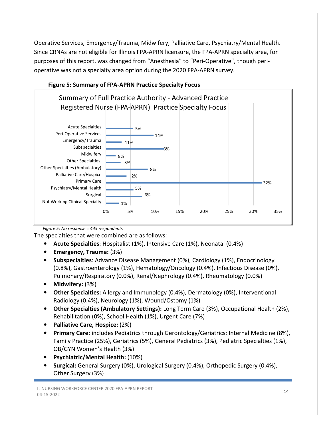Operative Services, Emergency/Trauma, Midwifery, Palliative Care, Psychiatry/Mental Health. Since CRNAs are not eligible for Illinois FPA-APRN licensure, the FPA-APRN specialty area, for purposes of this report, was changed from "Anesthesia" to "Peri-Operative", though perioperative was not a specialty area option during the 2020 FPA-APRN survey.



#### Figure 5: Summary of FPA-APRN Practice Specialty Focus

Figure 5: No response = 445 respondents

The specialties that were combined are as follows:

- Acute Specialties: Hospitalist (1%), Intensive Care (1%), Neonatal (0.4%)
- Emergency, Trauma: (3%)
- Subspecialties: Advance Disease Management (0%), Cardiology (1%), Endocrinology (0.8%), Gastroenterology (1%), Hematology/Oncology (0.4%), Infectious Disease (0%), Pulmonary/Respiratory (0.0%), Renal/Nephrology (0.4%), Rheumatology (0.0%)
- Midwifery: (3%)
- Other Specialties: Allergy and Immunology (0.4%), Dermatology (0%), Interventional Radiology (0.4%), Neurology (1%), Wound/Ostomy (1%)
- Other Specialties (Ambulatory Settings): Long Term Care (3%), Occupational Health (2%), Rehabilitation (0%), School Health (1%), Urgent Care (7%)
- Palliative Care, Hospice: (2%)
- Primary Care: includes Pediatrics through Gerontology/Geriatrics: Internal Medicine (8%), Family Practice (25%), Geriatrics (5%), General Pediatrics (3%), Pediatric Specialties (1%), OB/GYN Women's Health (3%)
- Psychiatric/Mental Health: (10%)
- Surgical: General Surgery (0%), Urological Surgery (0.4%), Orthopedic Surgery (0.4%), Other Surgery (3%)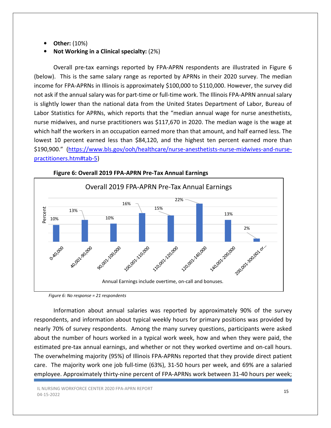- Other: (10%)
- Not Working in a Clinical specialty: (2%)

Overall pre-tax earnings reported by FPA-APRN respondents are illustrated in Figure 6 (below). This is the same salary range as reported by APRNs in their 2020 survey. The median income for FPA-APRNs in Illinois is approximately \$100,000 to \$110,000. However, the survey did not ask if the annual salary was for part-time or full-time work. The Illinois FPA-APRN annual salary is slightly lower than the national data from the United States Department of Labor, Bureau of Labor Statistics for APRNs, which reports that the "median annual wage for nurse anesthetists, nurse midwives, and nurse practitioners was \$117,670 in 2020. The median wage is the wage at which half the workers in an occupation earned more than that amount, and half earned less. The lowest 10 percent earned less than \$84,120, and the highest ten percent earned more than \$190,900." (https://www.bls.gov/ooh/healthcare/nurse-anesthetists-nurse-midwives-and-nursepractitioners.htm#tab-5)



Information about annual salaries was reported by approximately 90% of the survey respondents, and information about typical weekly hours for primary positions was provided by nearly 70% of survey respondents. Among the many survey questions, participants were asked about the number of hours worked in a typical work week, how and when they were paid, the estimated pre-tax annual earnings, and whether or not they worked overtime and on-call hours. The overwhelming majority (95%) of Illinois FPA-APRNs reported that they provide direct patient care. The majority work one job full-time (63%), 31-50 hours per week, and 69% are a salaried employee. Approximately thirty-nine percent of FPA-APRNs work between 31-40 hours per week;

Figure 6: No response = 21 respondents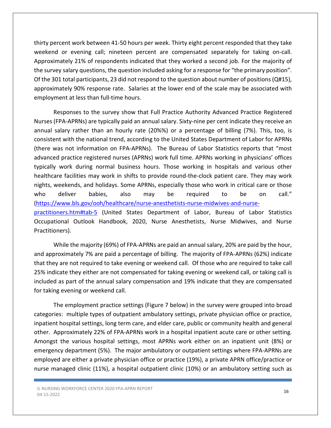thirty percent work between 41-50 hours per week. Thirty eight percent responded that they take weekend or evening call; nineteen percent are compensated separately for taking on-call. Approximately 21% of respondents indicated that they worked a second job. For the majority of the survey salary questions, the question included asking for a response for "the primary position". Of the 301 total participants, 23 did not respond to the question about number of positions (Q#15), approximately 90% response rate. Salaries at the lower end of the scale may be associated with employment at less than full-time hours.

Responses to the survey show that Full Practice Authority Advanced Practice Registered Nurses (FPA-APRNs) are typically paid an annual salary. Sixty-nine per cent indicate they receive an annual salary rather than an hourly rate (20%%) or a percentage of billing (7%). This, too, is consistent with the national trend, according to the United States Department of Labor for APRNs (there was not information on FPA-APRNs). The Bureau of Labor Statistics reports that "most advanced practice registered nurses (APRNs) work full time. APRNs working in physicians' offices typically work during normal business hours. Those working in hospitals and various other healthcare facilities may work in shifts to provide round-the-clock patient care. They may work nights, weekends, and holidays. Some APRNs, especially those who work in critical care or those who deliver babies, also may be required to be on call." (https://www.bls.gov/ooh/healthcare/nurse-anesthetists-nurse-midwives-and-nursepractitioners.htm#tab-5 (United States Department of Labor, Bureau of Labor Statistics Occupational Outlook Handbook, 2020, Nurse Anesthetists, Nurse Midwives, and Nurse Practitioners).

While the majority (69%) of FPA-APRNs are paid an annual salary, 20% are paid by the hour, and approximately 7% are paid a percentage of billing. The majority of FPA-APRNs (62%) indicate that they are not required to take evening or weekend call. Of those who are required to take call 25% indicate they either are not compensated for taking evening or weekend call, or taking call is included as part of the annual salary compensation and 19% indicate that they are compensated for taking evening or weekend call.

The employment practice settings (Figure 7 below) in the survey were grouped into broad categories: multiple types of outpatient ambulatory settings, private physician office or practice, inpatient hospital settings, long term care, and elder care, public or community health and general other. Approximately 22% of FPA-APRNs work in a hospital inpatient acute care or other setting. Amongst the various hospital settings, most APRNs work either on an inpatient unit (8%) or emergency department (5%). The major ambulatory or outpatient settings where FPA-APRNs are employed are either a private physician office or practice (19%), a private APRN office/practice or nurse managed clinic (11%), a hospital outpatient clinic (10%) or an ambulatory setting such as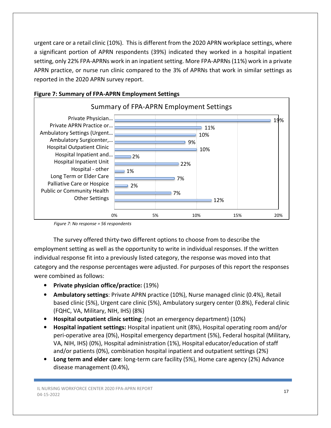urgent care or a retail clinic (10%). This is different from the 2020 APRN workplace settings, where a significant portion of APRN respondents (39%) indicated they worked in a hospital inpatient setting, only 22% FPA-APRNs work in an inpatient setting. More FPA-APRNs (11%) work in a private APRN practice, or nurse run clinic compared to the 3% of APRNs that work in similar settings as reported in the 2020 APRN survey report.



### Figure 7: Summary of FPA-APRN Employment Settings

Figure 7: No response = 56 respondents

The survey offered thirty-two different options to choose from to describe the employment setting as well as the opportunity to write in individual responses. If the written individual response fit into a previously listed category, the response was moved into that category and the response percentages were adjusted. For purposes of this report the responses were combined as follows:

- Private physician office/practice: (19%)
- Ambulatory settings: Private APRN practice (10%), Nurse managed clinic (0.4%), Retail based clinic (5%), Urgent care clinic (5%), Ambulatory surgery center (0.8%), Federal clinic (FQHC, VA, Military, NIH, IHS) (8%)
- Hospital outpatient clinic setting: (not an emergency department) (10%)
- Hospital inpatient settings: Hospital inpatient unit (8%), Hospital operating room and/or peri-operative area (0%), Hospital emergency department (5%), Federal hospital (Military, VA, NIH, IHS) (0%), Hospital administration (1%), Hospital educator/education of staff and/or patients (0%), combination hospital inpatient and outpatient settings (2%)
- Long term and elder care: long-term care facility (5%), Home care agency (2%) Advance disease management (0.4%),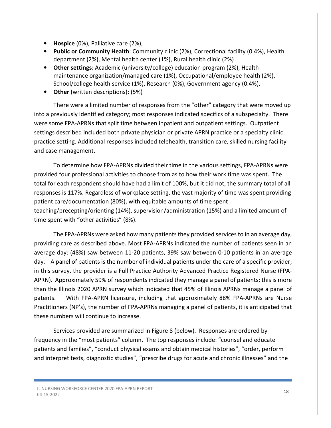- Hospice (0%), Palliative care (2%),
- Public or Community Health: Community clinic (2%), Correctional facility (0.4%), Health department (2%), Mental health center (1%), Rural health clinic (2%)
- Other settings: Academic (university/college) education program (2%), Health maintenance organization/managed care (1%), Occupational/employee health (2%), School/college health service (1%), Research (0%), Government agency (0.4%),
- Other (written descriptions): (5%)

There were a limited number of responses from the "other" category that were moved up into a previously identified category; most responses indicated specifics of a subspecialty. There were some FPA-APRNs that split time between inpatient and outpatient settings. Outpatient settings described included both private physician or private APRN practice or a specialty clinic practice setting. Additional responses included telehealth, transition care, skilled nursing facility and case management.

To determine how FPA-APRNs divided their time in the various settings, FPA-APRNs were provided four professional activities to choose from as to how their work time was spent. The total for each respondent should have had a limit of 100%, but it did not, the summary total of all responses is 117%. Regardless of workplace setting, the vast majority of time was spent providing patient care/documentation (80%), with equitable amounts of time spent teaching/precepting/orienting (14%), supervision/administration (15%) and a limited amount of time spent with "other activities" (8%).

The FPA-APRNs were asked how many patients they provided services to in an average day, providing care as described above. Most FPA-APRNs indicated the number of patients seen in an average day: (48%) saw between 11-20 patients, 39% saw between 0-10 patients in an average day. A panel of patients is the number of individual patients under the care of a specific provider; in this survey, the provider is a Full Practice Authority Advanced Practice Registered Nurse (FPA-APRN). Approximately 59% of respondents indicated they manage a panel of patients; this is more than the Illinois 2020 APRN survey which indicated that 45% of Illinois APRNs manage a panel of patents. With FPA-APRN licensure, including that approximately 88% FPA-APRNs are Nurse Practitioners (NP's), the number of FPA-APRNs managing a panel of patients, it is anticipated that these numbers will continue to increase.

Services provided are summarized in Figure 8 (below). Responses are ordered by frequency in the "most patients" column. The top responses include: "counsel and educate patients and families", "conduct physical exams and obtain medical histories", "order, perform and interpret tests, diagnostic studies", "prescribe drugs for acute and chronic illnesses" and the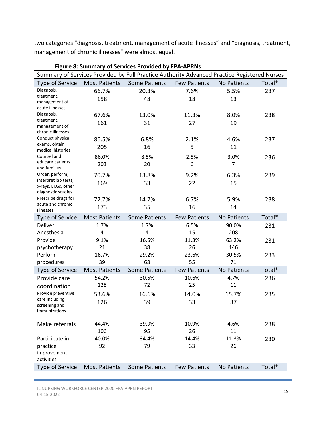two categories "diagnosis, treatment, management of acute illnesses" and "diagnosis, treatment, management of chronic illnesses" were almost equal.

| Summary of Services Provided by Full Practice Authority Advanced Practice Registered Nurses |                      |                      |                     |                |        |  |
|---------------------------------------------------------------------------------------------|----------------------|----------------------|---------------------|----------------|--------|--|
| Type of Service                                                                             | <b>Most Patients</b> | <b>Some Patients</b> | <b>Few Patients</b> | No Patients    | Total* |  |
| Diagnosis,                                                                                  | 66.7%                | 20.3%                | 7.6%                | 5.5%           | 237    |  |
| treatment,<br>management of                                                                 | 158                  | 48                   | 18                  | 13             |        |  |
| acute illnesses                                                                             |                      |                      |                     |                |        |  |
| Diagnosis,                                                                                  | 67.6%                | 13.0%                | 11.3%               | 8.0%           | 238    |  |
| treatment,                                                                                  |                      |                      |                     |                |        |  |
| management of                                                                               | 161                  | 31                   | 27                  | 19             |        |  |
| chronic illnesses                                                                           |                      |                      |                     |                |        |  |
| Conduct physical                                                                            | 86.5%                | 6.8%                 | 2.1%                | 4.6%           | 237    |  |
| exams, obtain<br>medical histories                                                          | 205                  | 16                   | 5                   | 11             |        |  |
| Counsel and                                                                                 | 86.0%                | 8.5%                 | 2.5%                | 3.0%           |        |  |
| educate patients                                                                            |                      |                      |                     |                | 236    |  |
| and families                                                                                | 203                  | 20                   | 6                   | $\overline{7}$ |        |  |
| Order, perform,                                                                             | 70.7%                | 13.8%                | 9.2%                | 6.3%           | 239    |  |
| interpret lab tests,                                                                        | 169                  | 33                   | 22                  | 15             |        |  |
| x-rays, EKGs, other                                                                         |                      |                      |                     |                |        |  |
| diagnostic studies<br>Prescribe drugs for                                                   |                      |                      |                     |                |        |  |
| acute and chronic                                                                           | 72.7%                | 14.7%                | 6.7%                | 5.9%           | 238    |  |
| illnesses                                                                                   | 173                  | 35                   | 16                  | 14             |        |  |
| <b>Type of Service</b>                                                                      | <b>Most Patients</b> | <b>Some Patients</b> | <b>Few Patients</b> | No Patients    | Total* |  |
| Deliver                                                                                     | 1.7%                 | 1.7%                 | 6.5%                | 90.0%          | 231    |  |
| Anesthesia                                                                                  | 4                    | 4                    | 15                  | 208            |        |  |
| Provide                                                                                     | 9.1%                 | 16.5%                | 11.3%               | 63.2%          | 231    |  |
| psychotherapy                                                                               | 21                   | 38                   | 26                  | 146            |        |  |
| Perform                                                                                     | 16.7%                | 29.2%                | 23.6%               | 30.5%          | 233    |  |
| procedures                                                                                  | 39                   | 68                   | 55                  | 71             |        |  |
| Type of Service                                                                             | <b>Most Patients</b> | <b>Some Patients</b> | <b>Few Patients</b> | No Patients    | Total* |  |
| Provide care                                                                                | 54.2%                | 30.5%                | 10.6%               | 4.7%           | 236    |  |
| coordination                                                                                | 128                  | 72                   | 25                  | 11             |        |  |
| Provide preventive                                                                          | 53.6%                | 16.6%                | 14.0%               | 15.7%          | 235    |  |
| care including                                                                              | 126                  | 39                   | 33                  | 37             |        |  |
| screening and                                                                               |                      |                      |                     |                |        |  |
| immunizations                                                                               |                      |                      |                     |                |        |  |
| Make referrals                                                                              | 44.4%                | 39.9%                | 10.9%               | 4.6%           | 238    |  |
|                                                                                             | 106                  | 95                   | 26                  | 11             |        |  |
| Participate in                                                                              | 40.0%                | 34.4%                | 14.4%               | 11.3%          | 230    |  |
| practice                                                                                    | 92                   | 79                   | 33                  | 26             |        |  |
| improvement                                                                                 |                      |                      |                     |                |        |  |
| activities                                                                                  |                      |                      |                     |                |        |  |
| Type of Service                                                                             | <b>Most Patients</b> | <b>Some Patients</b> | <b>Few Patients</b> | No Patients    | Total* |  |

Figure 8: Summary of Services Provided by FPA-APRNs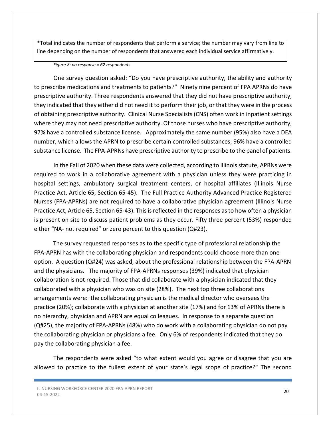\*Total indicates the number of respondents that perform a service; the number may vary from line to line depending on the number of respondents that answered each individual service affirmatively.

#### Figure 8: no response = 62 respondents

One survey question asked: "Do you have prescriptive authority, the ability and authority to prescribe medications and treatments to patients?" Ninety nine percent of FPA APRNs do have prescriptive authority. Three respondents answered that they did not have prescriptive authority, they indicated that they either did not need it to perform their job, or that they were in the process of obtaining prescriptive authority. Clinical Nurse Specialists (CNS) often work in inpatient settings where they may not need prescriptive authority. Of those nurses who have prescriptive authority, 97% have a controlled substance license. Approximately the same number (95%) also have a DEA number, which allows the APRN to prescribe certain controlled substances; 96% have a controlled substance license. The FPA-APRNs have prescriptive authority to prescribe to the panel of patients.

In the Fall of 2020 when these data were collected, according to Illinois statute, APRNs were required to work in a collaborative agreement with a physician unless they were practicing in hospital settings, ambulatory surgical treatment centers, or hospital affiliates (Illinois Nurse Practice Act, Article 65, Section 65-45). The Full Practice Authority Advanced Practice Registered Nurses (FPA-APRNs) are not required to have a collaborative physician agreement (Illinois Nurse Practice Act, Article 65, Section 65-43). This is reflected in the responses as to how often a physician is present on site to discuss patient problems as they occur. Fifty three percent (53%) responded either "NA- not required" or zero percent to this question (Q#23).

 The survey requested responses as to the specific type of professional relationship the FPA-APRN has with the collaborating physician and respondents could choose more than one option. A question (Q#24) was asked, about the professional relationship between the FPA-APRN and the physicians. The majority of FPA-APRNs responses (39%) indicated that physician collaboration is not required. Those that did collaborate with a physician indicated that they collaborated with a physician who was on site (28%). The next top three collaborations arrangements were: the collaborating physician is the medical director who oversees the practice (20%); collaborate with a physician at another site (17%) and for 13% of APRNs there is no hierarchy, physician and APRN are equal colleagues. In response to a separate question (Q#25), the majority of FPA-APRNs (48%) who do work with a collaborating physician do not pay the collaborating physician or physicians a fee. Only 6% of respondents indicated that they do pay the collaborating physician a fee.

The respondents were asked "to what extent would you agree or disagree that you are allowed to practice to the fullest extent of your state's legal scope of practice?" The second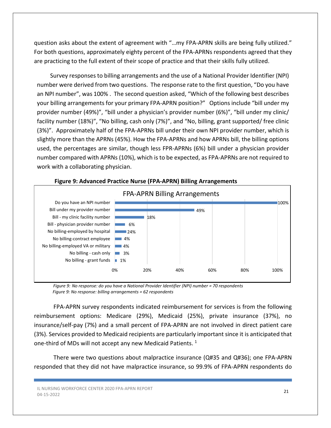question asks about the extent of agreement with "…my FPA-APRN skills are being fully utilized." For both questions, approximately eighty percent of the FPA-APRNs respondents agreed that they are practicing to the full extent of their scope of practice and that their skills fully utilized.

 Survey responses to billing arrangements and the use of a National Provider Identifier (NPI) number were derived from two questions. The response rate to the first question, "Do you have an NPI number", was 100% . The second question asked, "Which of the following best describes your billing arrangements for your primary FPA-APRN position?" Options include "bill under my provider number (49%)", "bill under a physician's provider number (6%)", "bill under my clinic/ facility number (18%)", "No billing, cash only (7%)", and "No, billing, grant supported/ free clinic (3%)". Approximately half of the FPA-APRNs bill under their own NPI provider number, which is slightly more than the APRNs (45%). How the FPA-APRNs and how APRNs bill, the billing options used, the percentages are similar, though less FPR-APRNs (6%) bill under a physician provider number compared with APRNs (10%), which is to be expected, as FPA-APRNs are not required to work with a collaborating physician.



#### Figure 9: Advanced Practice Nurse (FPA-APRN) Billing Arrangements

 Figure 9: No response: do you have a National Provider Identifier (NPI) number = 70 respondents Figure 9: No response: billing arrangements = 62 respondents

FPA-APRN survey respondents indicated reimbursement for services is from the following reimbursement options: Medicare (29%), Medicaid (25%), private insurance (37%), no insurance/self-pay (7%) and a small percent of FPA-APRN are not involved in direct patient care (3%). Services provided to Medicaid recipients are particularly important since it is anticipated that one-third of MDs will not accept any new Medicaid Patients.  $1$ 

There were two questions about malpractice insurance (Q#35 and Q#36); one FPA-APRN responded that they did not have malpractice insurance, so 99.9% of FPA-APRN respondents do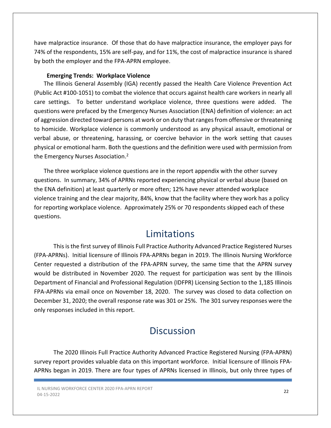have malpractice insurance. Of those that do have malpractice insurance, the employer pays for 74% of the respondents, 15% are self-pay, and for 11%, the cost of malpractice insurance is shared by both the employer and the FPA-APRN employee.

#### Emerging Trends: Workplace Violence

The Illinois General Assembly (IGA) recently passed the Health Care Violence Prevention Act (Public Act #100-1051) to combat the violence that occurs against health care workers in nearly all care settings. To better understand workplace violence, three questions were added. The questions were prefaced by the Emergency Nurses Association (ENA) definition of violence: an act of aggression directed toward persons at work or on duty that ranges from offensive or threatening to homicide. Workplace violence is commonly understood as any physical assault, emotional or verbal abuse, or threatening, harassing, or coercive behavior in the work setting that causes physical or emotional harm. Both the questions and the definition were used with permission from the Emergency Nurses Association.<sup>2</sup>

The three workplace violence questions are in the report appendix with the other survey questions. In summary, 34% of APRNs reported experiencing physical or verbal abuse (based on the ENA definition) at least quarterly or more often; 12% have never attended workplace violence training and the clear majority, 84%, know that the facility where they work has a policy for reporting workplace violence. Approximately 25% or 70 respondents skipped each of these questions.

## Limitations

This is the first survey of Illinois Full Practice Authority Advanced Practice Registered Nurses (FPA-APRNs). Initial licensure of Illinois FPA-APRNs began in 2019. The Illinois Nursing Workforce Center requested a distribution of the FPA-APRN survey, the same time that the APRN survey would be distributed in November 2020. The request for participation was sent by the Illinois Department of Financial and Professional Regulation (IDFPR) Licensing Section to the 1,185 Illinois FPA-APRNs via email once on November 18, 2020. The survey was closed to data collection on December 31, 2020; the overall response rate was 301 or 25%. The 301 survey responses were the only responses included in this report.

## **Discussion**

The 2020 Illinois Full Practice Authority Advanced Practice Registered Nursing (FPA-APRN) survey report provides valuable data on this important workforce. Initial licensure of Illinois FPA-APRNs began in 2019. There are four types of APRNs licensed in Illinois, but only three types of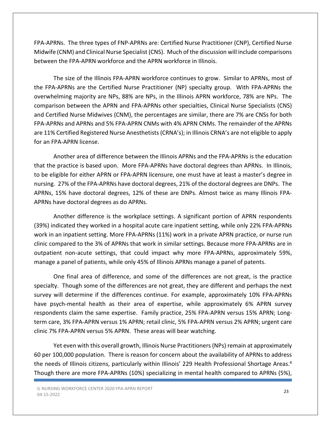FPA-APRNs. The three types of FNP-APRNs are: Certified Nurse Practitioner (CNP), Certified Nurse Midwife (CNM) and Clinical Nurse Specialist (CNS). Much of the discussion will include comparisons between the FPA-APRN workforce and the APRN workforce in Illinois.

The size of the Illinois FPA-APRN workforce continues to grow. Similar to APRNs, most of the FPA-APRNs are the Certified Nurse Practitioner (NP) specialty group. With FPA-APRNs the overwhelming majority are NPs, 88% are NPs, in the Illinois APRN workforce, 78% are NPs. The comparison between the APRN and FPA-APRNs other specialties, Clinical Nurse Specialists (CNS) and Certified Nurse Midwives (CNM), the percentages are similar, there are 7% are CNSs for both FPA-APRNs and APRNs and 5% FPA-APRN CNMs with 4% APRN CNMs. The remainder of the APRNs are 11% Certified Registered Nurse Anesthetists (CRNA's); in Illinois CRNA's are not eligible to apply for an FPA-APRN license.

Another area of difference between the Illinois APRNs and the FPA-APRNs is the education that the practice is based upon. More FPA-APRNs have doctoral degrees than APRNs. In Illinois, to be eligible for either APRN or FPA-APRN licensure, one must have at least a master's degree in nursing. 27% of the FPA-APRNs have doctoral degrees, 21% of the doctoral degrees are DNPs. The APRNs, 15% have doctoral degrees, 12% of these are DNPs. Almost twice as many Illinois FPA-APRNs have doctoral degrees as do APRNs.

Another difference is the workplace settings. A significant portion of APRN respondents (39%) indicated they worked in a hospital acute care inpatient setting, while only 22% FPA-APRNs work in an inpatient setting. More FPA-APRNs (11%) work in a private APRN practice, or nurse run clinic compared to the 3% of APRNs that work in similar settings. Because more FPA-APRNs are in outpatient non-acute settings, that could impact why more FPA-APRNs, approximately 59%, manage a panel of patients, while only 45% of Illinois APRNs manage a panel of patents.

One final area of difference, and some of the differences are not great, is the practice specialty. Though some of the differences are not great, they are different and perhaps the next survey will determine if the differences continue. For example, approximately 10% FPA-APRNs have psych-mental health as their area of expertise, while approximately 6% APRN survey respondents claim the same expertise. Family practice, 25% FPA-APRN versus 15% APRN; Longterm care, 3% FPA-APRN versus 1% APRN; retail clinic, 5% FPA-APRN versus 2% APRN; urgent care clinic 7% FPA-APRN versus 5% APRN. These areas will bear watching.

Yet even with this overall growth, Illinois Nurse Practitioners (NPs) remain at approximately 60 per 100,000 population. There is reason for concern about the availability of APRNs to address the needs of Illinois citizens, particularly within Illinois' 229 Health Professional Shortage Areas.<sup>4</sup> Though there are more FPA-APRNs (10%) specializing in mental health compared to APRNs (5%),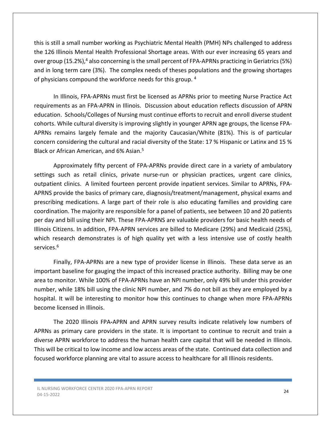this is still a small number working as Psychiatric Mental Health (PMH) NPs challenged to address the 126 Illinois Mental Health Professional Shortage areas. With our ever increasing 65 years and over group (15.2%),<sup>4</sup> also concerning is the small percent of FPA-APRNs practicing in Geriatrics (5%) and in long term care (3%). The complex needs of theses populations and the growing shortages of physicians compound the workforce needs for this group. <sup>4</sup>

In Illinois, FPA-APRNs must first be licensed as APRNs prior to meeting Nurse Practice Act requirements as an FPA-APRN in Illinois. Discussion about education reflects discussion of APRN education. Schools/Colleges of Nursing must continue efforts to recruit and enroll diverse student cohorts. While cultural diversity is improving slightly in younger APRN age groups, the license FPA-APRNs remains largely female and the majority Caucasian/White (81%). This is of particular concern considering the cultural and racial diversity of the State: 17 % Hispanic or Latinx and 15 % Black or African American, and 6% Asian.<sup>5</sup>

 Approximately fifty percent of FPA-APRNs provide direct care in a variety of ambulatory settings such as retail clinics, private nurse-run or physician practices, urgent care clinics, outpatient clinics. A limited fourteen percent provide inpatient services. Similar to APRNs, FPA-APRNS provide the basics of primary care, diagnosis/treatment/management, physical exams and prescribing medications. A large part of their role is also educating families and providing care coordination. The majority are responsible for a panel of patients, see between 10 and 20 patients per day and bill using their NPI. These FPA-APRNS are valuable providers for basic health needs of Illinois Citizens. In addition, FPA-APRN services are billed to Medicare (29%) and Medicaid (25%), which research demonstrates is of high quality yet with a less intensive use of costly health services.<sup>6</sup>

 Finally, FPA-APRNs are a new type of provider license in Illinois. These data serve as an important baseline for gauging the impact of this increased practice authority. Billing may be one area to monitor. While 100% of FPA-APRNs have an NPI number, only 49% bill under this provider number, while 18% bill using the clinic NPI number, and 7% do not bill as they are employed by a hospital. It will be interesting to monitor how this continues to change when more FPA-APRNs become licensed in Illinois.

The 2020 Illinois FPA-APRN and APRN survey results indicate relatively low numbers of APRNs as primary care providers in the state. It is important to continue to recruit and train a diverse APRN workforce to address the human health care capital that will be needed in Illinois. This will be critical to low income and low access areas of the state. Continued data collection and focused workforce planning are vital to assure access to healthcare for all Illinois residents.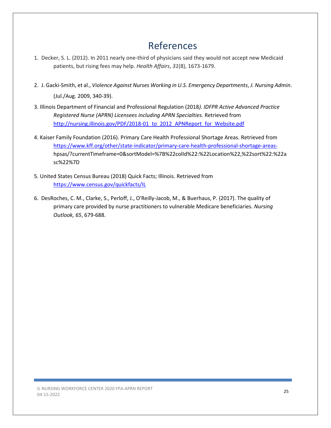# References

- 1. Decker, S. L. (2012). In 2011 nearly one-third of physicians said they would not accept new Medicaid patients, but rising fees may help. Health Affairs, 31(8), 1673-1679.
- 2. J. Gacki-Smith, et al., Violence Against Nurses Working in U.S. Emergency Departments, J. Nursing Admin. (Jul./Aug. 2009, 340-39).
- 3. Illinois Department of Financial and Professional Regulation (2018). IDFPR Active Advanced Practice Registered Nurse (APRN) Licensees including APRN Specialties. Retrieved from http://nursing.illinois.gov/PDF/2018-01\_to\_2012\_APNReport\_for\_Website.pdf
- 4. Kaiser Family Foundation (2016). Primary Care Health Professional Shortage Areas. Retrieved from https://www.kff.org/other/state-indicator/primary-care-health-professional-shortage-areas hpsas/?currentTimeframe=0&sortModel=%7B%22colId%22:%22Location%22,%22sort%22:%22a sc%22%7D
- 5. United States Census Bureau (2018) Quick Facts; Illinois. Retrieved from https://www.census.gov/quickfacts/IL
- 6. DesRoches, C. M., Clarke, S., Perloff, J., O'Reilly-Jacob, M., & Buerhaus, P. (2017). The quality of primary care provided by nurse practitioners to vulnerable Medicare beneficiaries. Nursing Outlook, 65, 679-688.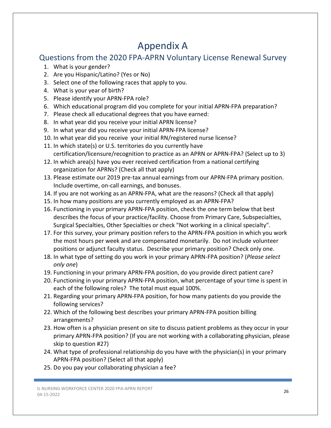# Appendix A

## Questions from the 2020 FPA-APRN Voluntary License Renewal Survey

- 1. What is your gender?
- 2. Are you Hispanic/Latino? (Yes or No)
- 3. Select one of the following races that apply to you.
- 4. What is your year of birth?
- 5. Please identify your APRN-FPA role?
- 6. Which educational program did you complete for your initial APRN-FPA preparation?
- 7. Please check all educational degrees that you have earned:
- 8. In what year did you receive your initial APRN license?
- 9. In what year did you receive your initial APRN-FPA license?
- 10. In what year did you receive your initial RN/registered nurse license?
- 11. In which state(s) or U.S. territories do you currently have certification/licensure/recognition to practice as an APRN or APRN-FPA? (Select up to 3)
- 12. In which area(s) have you ever received certification from a national certifying organization for APRNs? (Check all that apply)
- 13. Please estimate our 2019 pre-tax annual earnings from our APRN-FPA primary position. Include overtime, on-call earnings, and bonuses.
- 14. If you are not working as an APRN-FPA, what are the reasons? (Check all that apply)
- 15. In how many positions are you currently employed as an APRN-FPA?
- 16. Functioning in your primary APRN-FPA position, check the one term below that best describes the focus of your practice/facility. Choose from Primary Care, Subspecialties, Surgical Specialties, Other Specialties or check "Not working in a clinical specialty".
- 17. For this survey, your primary position refers to the APRN-FPA position in which you work the most hours per week and are compensated monetarily. Do not include volunteer positions or adjunct faculty status. Describe your primary position? Check only one.
- 18. In what type of setting do you work in your primary APRN-FPA position? (*Please select* only one)
- 19. Functioning in your primary APRN-FPA position, do you provide direct patient care?
- 20. Functioning in your primary APRN-FPA position, what percentage of your time is spent in each of the following roles? The total must equal 100%.
- 21. Regarding your primary APRN-FPA position, for how many patients do you provide the following services?
- 22. Which of the following best describes your primary APRN-FPA position billing arrangements?
- 23. How often is a physician present on site to discuss patient problems as they occur in your primary APRN-FPA position? (If you are not working with a collaborating physician, please skip to question #27)
- 24. What type of professional relationship do you have with the physician(s) in your primary APRN-FPA position? (Select all that apply)
- 25. Do you pay your collaborating physician a fee?